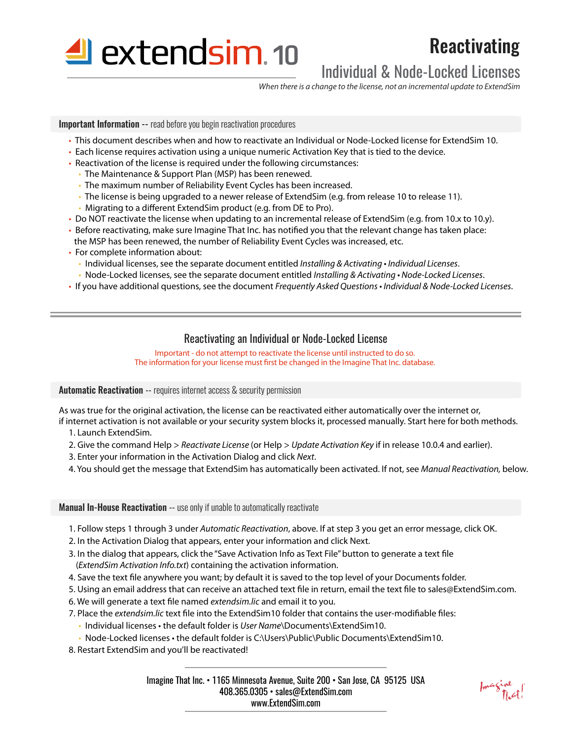

# Reactivating

## Individual & Node-Locked Licenses

*When there is a change to the license, not an incremental update to ExtendSim*

**Important Information --** read before you begin reactivation procedures

- This document describes when and how to reactivate an Individual or Node-Locked license for ExtendSim 10.
- Each license requires activation using a unique numeric Activation Key that is tied to the device.
- Reactivation of the license is required under the following circumstances:
	- The Maintenance & Support Plan (MSP) has been renewed.
	- The maximum number of Reliability Event Cycles has been increased.
	- The license is being upgraded to a newer release of ExtendSim (e.g. from release 10 to release 11).
	- Migrating to a different ExtendSim product (e.g. from DE to Pro).
- Do NOT reactivate the license when updating to an incremental release of ExtendSim (e.g. from 10.x to 10.y).
- Before reactivating, make sure Imagine That Inc. has notified you that the relevant change has taken place: the MSP has been renewed, the number of Reliability Event Cycles was increased, etc.
- For complete information about:
	- Individual licenses, see the separate document entitled Installing & Activating Individual Licenses.
	- Node-Locked licenses, see the separate document entitled Installing & Activating Node-Locked Licenses.
- If you have additional questions, see the document Frequently Asked Questions Individual & Node-Locked Licenses.

#### Reactivating an Individual or Node-Locked License

Important - do not attempt to reactivate the license until instructed to do so. The information for your license must first be changed in the Imagine That Inc. database.

**Automatic Reactivation** -- requires internet access & security permission

As was true for the original activation, the license can be reactivated either automatically over the internet or,

if internet activation is not available or your security system blocks it, processed manually. Start here for both methods. 1. Launch ExtendSim.

- 2. Give the command Help > *Reactivate License* (or Help > *Update Activation Key* if in release 10.0.4 and earlier).
- 3. Enter your information in the Activation Dialog and click *Next*.
- 4. You should get the message that ExtendSim has automatically been activated. If not, see *Manual Reactivation,* below.

Manual In-House Reactivation -- use only if unable to automatically reactivate

1. Follow steps 1 through 3 under *Automatic Reactivation*, above. If at step 3 you get an error message, click OK.

2. In the Activation Dialog that appears, enter your information and click Next.

- 3. In the dialog that appears, click the "Save Activation Info as Text File" button to generate a text file (*ExtendSim Activation Info.txt*) containing the activation information.
- 4. Save the text file anywhere you want; by default it is saved to the top level of your Documents folder.
- 5. Using an email address that can receive an attached text file in return, email the text file to sales@ExtendSim.com.
- 6. We will generate a text file named *extendsim.lic* and email it to you.
- 7. Place the *extendsim.lic* text file into the ExtendSim10 folder that contains the user-modifiable files:
	- Individual licenses the default folder is *User Name*\Documents\ExtendSim10.
	- Node-Locked licenses the default folder is C:\Users\Public\Public Documents\ExtendSim10.
- 8. Restart ExtendSim and you'll be reactivated!

Imagine That Inc. • 1165 Minnesota Avenue, Suite 200 • San Jose, CA 95125 USA 408.365.0305 • sales@ExtendSim.com www.ExtendSim.com

Imagine<br>That!